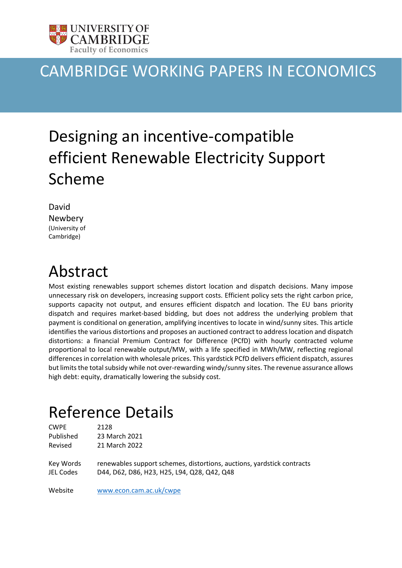

### CAMBRIDGE WORKING PAPERS IN ECONOMICS

# Designing an incentive-compatible efficient Renewable Electricity Support Scheme

| David          |
|----------------|
| Newbery        |
| (University of |
| Cambridge)     |

### Abstract

Most existing renewables support schemes distort location and dispatch decisions. Many impose unnecessary risk on developers, increasing support costs. Efficient policy sets the right carbon price, supports capacity not output, and ensures efficient dispatch and location. The EU bans priority dispatch and requires market-based bidding, but does not address the underlying problem that payment is conditional on generation, amplifying incentives to locate in wind/sunny sites. This article identifies the various distortions and proposes an auctioned contract to address location and dispatch distortions: a financial Premium Contract for Difference (PCfD) with hourly contracted volume proportional to local renewable output/MW, with a life specified in MWh/MW, reflecting regional differences in correlation with wholesale prices. This yardstick PCfD delivers efficient dispatch, assures but limits the total subsidy while not over-rewarding windy/sunny sites. The revenue assurance allows high debt: equity, dramatically lowering the subsidy cost.

### Reference Details

| <b>CWPE</b>            | 2128                                                                                                                  |
|------------------------|-----------------------------------------------------------------------------------------------------------------------|
| Published              | 23 March 2021                                                                                                         |
| Revised                | 21 March 2022                                                                                                         |
| Key Words<br>JEL Codes | renewables support schemes, distortions, auctions, yardstick contracts<br>D44, D62, D86, H23, H25, L94, Q28, Q42, Q48 |
| Website                | www.econ.cam.ac.uk/cwpe                                                                                               |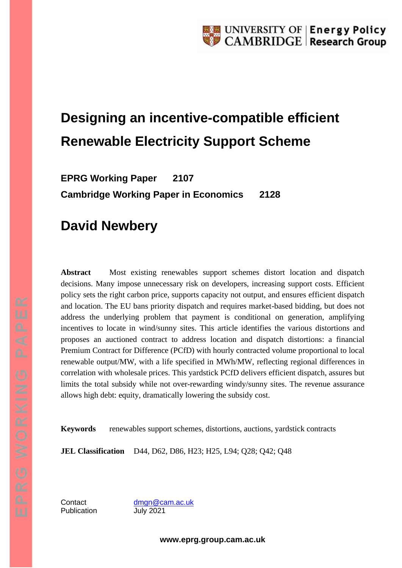## **Designing an incentive-compatible efficient Renewable Electricity Support Scheme**

**EPRG Working Paper 2107 Cambridge Working Paper in Economics 2128**

### **David Newbery**

**Abstract** Most existing renewables support schemes distort location and dispatch decisions. Many impose unnecessary risk on developers, increasing support costs. Efficient policy sets the right carbon price, supports capacity not output, and ensures efficient dispatch and location. The EU bans priority dispatch and requires market-based bidding, but does not address the underlying problem that payment is conditional on generation, amplifying incentives to locate in wind/sunny sites. This article identifies the various distortions and proposes an auctioned contract to address location and dispatch distortions: a financial Premium Contract for Difference (PCfD) with hourly contracted volume proportional to local renewable output/MW, with a life specified in MWh/MW, reflecting regional differences in correlation with wholesale prices. This yardstick PCfD delivers efficient dispatch, assures but limits the total subsidy while not over-rewarding windy/sunny sites. The revenue assurance allows high debt: equity, dramatically lowering the subsidy cost.

**Keywords** renewables support schemes, distortions, auctions, yardstick contracts

**JEL Classification** D44, D62, D86, H23; H25, L94; Q28; Q42; Q48

Publication July 2021

Contact [dmgn@cam.ac.uk](mailto:dmgn@cam.ac.uk)

**www.eprg.group.cam.ac.uk**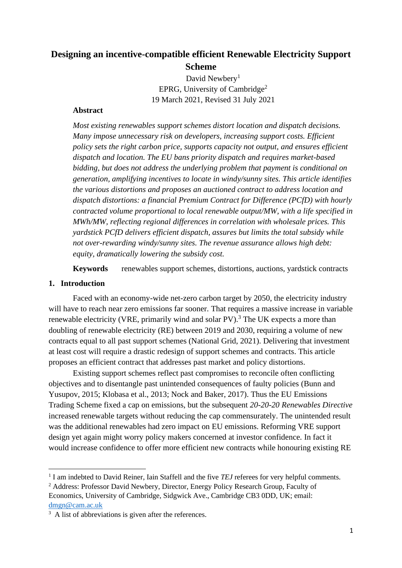### **Designing an incentive-compatible efficient Renewable Electricity Support Scheme**

David Newbery<sup>1</sup> EPRG, University of Cambridge<sup>2</sup> 19 March 2021, Revised 31 July 2021

#### **Abstract**

*Most existing renewables support schemes distort location and dispatch decisions. Many impose unnecessary risk on developers, increasing support costs. Efficient policy sets the right carbon price, supports capacity not output, and ensures efficient dispatch and location. The EU bans priority dispatch and requires market-based bidding, but does not address the underlying problem that payment is conditional on generation, amplifying incentives to locate in windy/sunny sites. This article identifies the various distortions and proposes an auctioned contract to address location and dispatch distortions: a financial Premium Contract for Difference (PCfD) with hourly contracted volume proportional to local renewable output/MW, with a life specified in MWh/MW, reflecting regional differences in correlation with wholesale prices. This yardstick PCfD delivers efficient dispatch, assures but limits the total subsidy while not over-rewarding windy/sunny sites. The revenue assurance allows high debt: equity, dramatically lowering the subsidy cost.*

**Keywords** renewables support schemes, distortions, auctions, yardstick contracts

#### **1. Introduction**

Faced with an economy-wide net-zero carbon target by 2050, the electricity industry will have to reach near zero emissions far sooner. That requires a massive increase in variable renewable electricity (VRE, primarily wind and solar PV).<sup>3</sup> The UK expects a more than doubling of renewable electricity (RE) between 2019 and 2030, requiring a volume of new contracts equal to all past support schemes (National Grid, 2021). Delivering that investment at least cost will require a drastic redesign of support schemes and contracts. This article proposes an efficient contract that addresses past market and policy distortions.

Existing support schemes reflect past compromises to reconcile often conflicting objectives and to disentangle past unintended consequences of faulty policies (Bunn and Yusupov, 2015; Klobasa et al., 2013; Nock and Baker, 2017). Thus the EU Emissions Trading Scheme fixed a cap on emissions, but the subsequent *20-20-20 Renewables Directive* increased renewable targets without reducing the cap commensurately. The unintended result was the additional renewables had zero impact on EU emissions. Reforming VRE support design yet again might worry policy makers concerned at investor confidence. In fact it would increase confidence to offer more efficient new contracts while honouring existing RE

<sup>2</sup> Address: Professor David Newbery, Director, Energy Policy Research Group, Faculty of Economics, University of Cambridge, Sidgwick Ave., Cambridge CB3 0DD, UK; email: [dmgn@cam.ac.uk](mailto:dmgn@cam.ac.uk)

<sup>&</sup>lt;sup>1</sup> I am indebted to David Reiner, Iain Staffell and the five *TEJ* referees for very helpful comments.

<sup>&</sup>lt;sup>3</sup> A list of abbreviations is given after the references.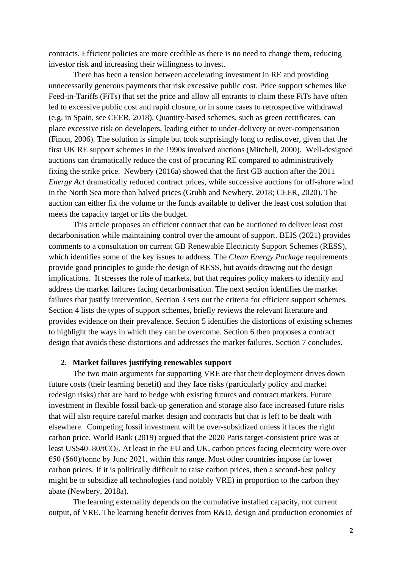contracts. Efficient policies are more credible as there is no need to change them, reducing investor risk and increasing their willingness to invest.

There has been a tension between accelerating investment in RE and providing unnecessarily generous payments that risk excessive public cost. Price support schemes like Feed-in-Tariffs (FiTs) that set the price and allow all entrants to claim these FiTs have often led to excessive public cost and rapid closure, or in some cases to retrospective withdrawal (e.g. in Spain, see CEER, 2018). Quantity-based schemes, such as green certificates, can place excessive risk on developers, leading either to under-delivery or over-compensation (Finon, 2006). The solution is simple but took surprisingly long to rediscover, given that the first UK RE support schemes in the 1990s involved auctions (Mitchell, 2000). Well-designed auctions can dramatically reduce the cost of procuring RE compared to administratively fixing the strike price. Newbery (2016a) showed that the first GB auction after the 2011 *Energy Act* dramatically reduced contract prices, while successive auctions for off-shore wind in the North Sea more than halved prices (Grubb and Newbery, 2018; CEER, 2020). The auction can either fix the volume or the funds available to deliver the least cost solution that meets the capacity target or fits the budget.

This article proposes an efficient contract that can be auctioned to deliver least cost decarbonisation while maintaining control over the amount of support. BEIS (2021) provides comments to a consultation on current GB Renewable Electricity Support Schemes (RESS), which identifies some of the key issues to address. The *Clean Energy Package* requirements provide good principles to guide the design of RESS, but avoids drawing out the design implications. It stresses the role of markets, but that requires policy makers to identify and address the market failures facing decarbonisation. The next section identifies the market failures that justify intervention, Section 3 sets out the criteria for efficient support schemes. Section 4 lists the types of support schemes, briefly reviews the relevant literature and provides evidence on their prevalence. Section 5 identifies the distortions of existing schemes to highlight the ways in which they can be overcome. Section 6 then proposes a contract design that avoids these distortions and addresses the market failures. Section 7 concludes.

#### **2. Market failures justifying renewables support**

The two main arguments for supporting VRE are that their deployment drives down future costs (their learning benefit) and they face risks (particularly policy and market redesign risks) that are hard to hedge with existing futures and contract markets. Future investment in flexible fossil back-up generation and storage also face increased future risks that will also require careful market design and contracts but that is left to be dealt with elsewhere. Competing fossil investment will be over-subsidized unless it faces the right carbon price. World Bank (2019) argued that the 2020 Paris target-consistent price was at least US\$40–80/tCO2. At least in the EU and UK, carbon prices facing electricity were over  $\epsilon$ 50 (\$60)/tonne by June 2021, within this range. Most other countries impose far lower carbon prices. If it is politically difficult to raise carbon prices, then a second-best policy might be to subsidize all technologies (and notably VRE) in proportion to the carbon they abate (Newbery, 2018a).

The learning externality depends on the cumulative installed capacity, not current output, of VRE. The learning benefit derives from R&D, design and production economies of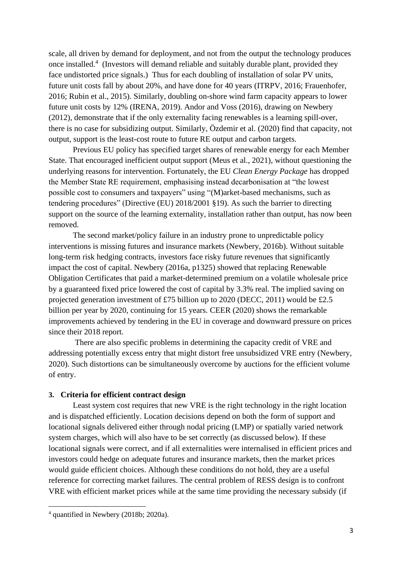scale, all driven by demand for deployment, and not from the output the technology produces once installed. 4 (Investors will demand reliable and suitably durable plant, provided they face undistorted price signals.) Thus for each doubling of installation of solar PV units, future unit costs fall by about 20%, and have done for 40 years (ITRPV, 2016; Frauenhofer, 2016; Rubin et al., 2015). Similarly, doubling on-shore wind farm capacity appears to lower future unit costs by 12% (IRENA, 2019). Andor and Voss (2016), drawing on Newbery (2012), demonstrate that if the only externality facing renewables is a learning spill-over, there is no case for subsidizing output. Similarly, Özdemir et al. (2020) find that capacity, not output, support is the least-cost route to future RE output and carbon targets.

Previous EU policy has specified target shares of renewable energy for each Member State. That encouraged inefficient output support (Meus et al., 2021), without questioning the underlying reasons for intervention. Fortunately, the EU *Clean Energy Package* has dropped the Member State RE requirement, emphasising instead decarbonisation at "the lowest possible cost to consumers and taxpayers" using "(M)arket-based mechanisms, such as tendering procedures" (Directive (EU) 2018/2001 §19). As such the barrier to directing support on the source of the learning externality, installation rather than output, has now been removed.

The second market/policy failure in an industry prone to unpredictable policy interventions is missing futures and insurance markets (Newbery, 2016b). Without suitable long-term risk hedging contracts, investors face risky future revenues that significantly impact the cost of capital. Newbery (2016a, p1325) showed that replacing Renewable Obligation Certificates that paid a market-determined premium on a volatile wholesale price by a guaranteed fixed price lowered the cost of capital by 3.3% real. The implied saving on projected generation investment of £75 billion up to 2020 (DECC, 2011) would be £2.5 billion per year by 2020, continuing for 15 years. CEER (2020) shows the remarkable improvements achieved by tendering in the EU in coverage and downward pressure on prices since their 2018 report.

There are also specific problems in determining the capacity credit of VRE and addressing potentially excess entry that might distort free unsubsidized VRE entry (Newbery, 2020). Such distortions can be simultaneously overcome by auctions for the efficient volume of entry.

#### **3. Criteria for efficient contract design**

Least system cost requires that new VRE is the right technology in the right location and is dispatched efficiently. Location decisions depend on both the form of support and locational signals delivered either through nodal pricing (LMP) or spatially varied network system charges, which will also have to be set correctly (as discussed below). If these locational signals were correct, and if all externalities were internalised in efficient prices and investors could hedge on adequate futures and insurance markets, then the market prices would guide efficient choices. Although these conditions do not hold, they are a useful reference for correcting market failures. The central problem of RESS design is to confront VRE with efficient market prices while at the same time providing the necessary subsidy (if

<sup>4</sup> quantified in Newbery (2018b; 2020a).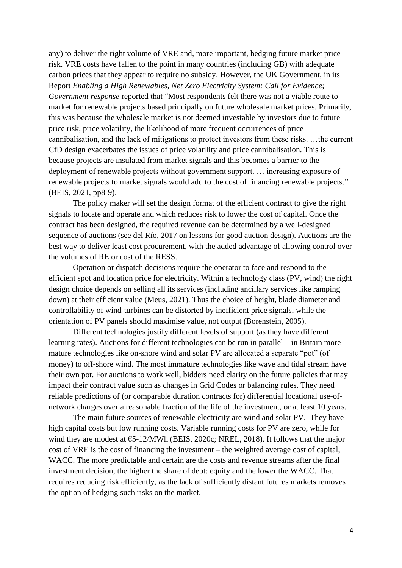any) to deliver the right volume of VRE and, more important, hedging future market price risk. VRE costs have fallen to the point in many countries (including GB) with adequate carbon prices that they appear to require no subsidy. However, the UK Government, in its Report *Enabling a High Renewables, Net Zero Electricity System: Call for Evidence; Government response* reported that "Most respondents felt there was not a viable route to market for renewable projects based principally on future wholesale market prices. Primarily, this was because the wholesale market is not deemed investable by investors due to future price risk, price volatility, the likelihood of more frequent occurrences of price cannibalisation, and the lack of mitigations to protect investors from these risks. …the current CfD design exacerbates the issues of price volatility and price cannibalisation. This is because projects are insulated from market signals and this becomes a barrier to the deployment of renewable projects without government support. … increasing exposure of renewable projects to market signals would add to the cost of financing renewable projects." (BEIS, 2021, pp8-9).

The policy maker will set the design format of the efficient contract to give the right signals to locate and operate and which reduces risk to lower the cost of capital. Once the contract has been designed, the required revenue can be determined by a well-designed sequence of auctions (see del Río, 2017 on lessons for good auction design). Auctions are the best way to deliver least cost procurement, with the added advantage of allowing control over the volumes of RE or cost of the RESS.

Operation or dispatch decisions require the operator to face and respond to the efficient spot and location price for electricity. Within a technology class (PV, wind) the right design choice depends on selling all its services (including ancillary services like ramping down) at their efficient value (Meus, 2021). Thus the choice of height, blade diameter and controllability of wind-turbines can be distorted by inefficient price signals, while the orientation of PV panels should maximise value, not output (Borenstein, 2005).

Different technologies justify different levels of support (as they have different learning rates). Auctions for different technologies can be run in parallel – in Britain more mature technologies like on-shore wind and solar PV are allocated a separate "pot" (of money) to off-shore wind. The most immature technologies like wave and tidal stream have their own pot. For auctions to work well, bidders need clarity on the future policies that may impact their contract value such as changes in Grid Codes or balancing rules. They need reliable predictions of (or comparable duration contracts for) differential locational use-ofnetwork charges over a reasonable fraction of the life of the investment, or at least 10 years.

The main future sources of renewable electricity are wind and solar PV. They have high capital costs but low running costs. Variable running costs for PV are zero, while for wind they are modest at  $\epsilon$ 5-12/MWh (BEIS, 2020c; NREL, 2018). It follows that the major cost of VRE is the cost of financing the investment – the weighted average cost of capital, WACC. The more predictable and certain are the costs and revenue streams after the final investment decision, the higher the share of debt: equity and the lower the WACC. That requires reducing risk efficiently, as the lack of sufficiently distant futures markets removes the option of hedging such risks on the market.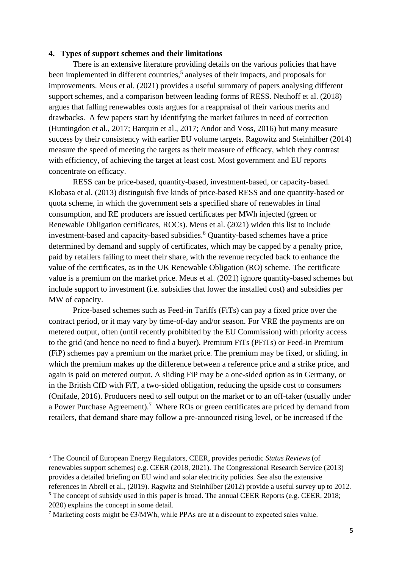#### **4. Types of support schemes and their limitations**

There is an extensive literature providing details on the various policies that have been implemented in different countries,<sup>5</sup> analyses of their impacts, and proposals for improvements. Meus et al. (2021) provides a useful summary of papers analysing different support schemes, and a comparison between leading forms of RESS. Neuhoff et al. (2018) argues that falling renewables costs argues for a reappraisal of their various merits and drawbacks. A few papers start by identifying the market failures in need of correction (Huntingdon et al., 2017; Barquin et al., 2017; Andor and Voss, 2016) but many measure success by their consistency with earlier EU volume targets. Ragowitz and Steinhilber (2014) measure the speed of meeting the targets as their measure of efficacy, which they contrast with efficiency, of achieving the target at least cost. Most government and EU reports concentrate on efficacy.

RESS can be price-based, quantity-based, investment-based, or capacity-based. Klobasa et al. (2013) distinguish five kinds of price-based RESS and one quantity-based or quota scheme, in which the government sets a specified share of renewables in final consumption, and RE producers are issued certificates per MWh injected (green or Renewable Obligation certificates, ROCs). Meus et al. (2021) widen this list to include investment-based and capacity-based subsidies.<sup>6</sup> Quantity-based schemes have a price determined by demand and supply of certificates, which may be capped by a penalty price, paid by retailers failing to meet their share, with the revenue recycled back to enhance the value of the certificates, as in the UK Renewable Obligation (RO) scheme. The certificate value is a premium on the market price. Meus et al. (2021) ignore quantity-based schemes but include support to investment (i.e. subsidies that lower the installed cost) and subsidies per MW of capacity.

Price-based schemes such as Feed-in Tariffs (FiTs) can pay a fixed price over the contract period, or it may vary by time-of-day and/or season. For VRE the payments are on metered output, often (until recently prohibited by the EU Commission) with priority access to the grid (and hence no need to find a buyer). Premium FiTs (PFiTs) or Feed-in Premium (FiP) schemes pay a premium on the market price. The premium may be fixed, or sliding, in which the premium makes up the difference between a reference price and a strike price, and again is paid on metered output. A sliding FiP may be a one-sided option as in Germany, or in the British CfD with FiT, a two-sided obligation, reducing the upside cost to consumers (Onifade, 2016). Producers need to sell output on the market or to an off-taker (usually under a Power Purchase Agreement).<sup>7</sup> Where ROs or green certificates are priced by demand from retailers, that demand share may follow a pre-announced rising level, or be increased if the

<sup>5</sup> The Council of European Energy Regulators, CEER, provides periodic *Status Reviews* (of renewables support schemes) e.g. CEER (2018, 2021). The Congressional Research Service (2013) provides a detailed briefing on EU wind and solar electricity policies. See also the extensive references in Abrell et al., (2019). Ragwitz and Steinhilber (2012) provide a useful survey up to 2012. <sup>6</sup> The concept of subsidy used in this paper is broad. The annual CEER Reports (e.g. CEER, 2018; 2020) explains the concept in some detail.

<sup>&</sup>lt;sup>7</sup> Marketing costs might be  $\epsilon$ 3/MWh, while PPAs are at a discount to expected sales value.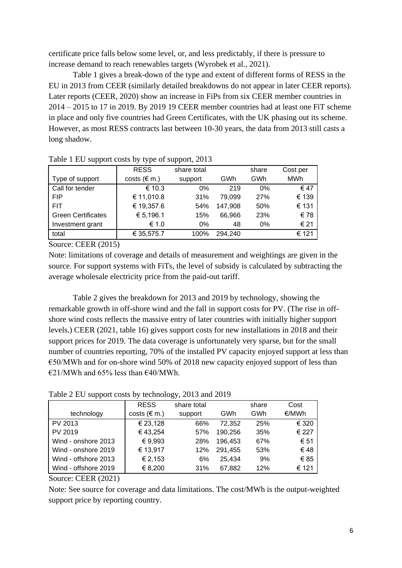certificate price falls below some level, or, and less predictably, if there is pressure to increase demand to reach renewables targets (Wyrobek et al., 2021).

Table 1 gives a break-down of the type and extent of different forms of RESS in the EU in 2013 from CEER (similarly detailed breakdowns do not appear in later CEER reports). Later reports (CEER, 2020) show an increase in FiPs from six CEER member countries in 2014 – 2015 to 17 in 2019. By 2019 19 CEER member countries had at least one FiT scheme in place and only five countries had Green Certificates, with the UK phasing out its scheme. However, as most RESS contracts last between 10-30 years, the data from 2013 still casts a long shadow.

| -----                     | - <i>.</i> .<br><b>RESS</b> | share total |         | share | Cost per   |
|---------------------------|-----------------------------|-------------|---------|-------|------------|
|                           |                             |             |         |       |            |
| Type of support           | costs ( $\notin$ m.)        | support     | GWh     | GWh   | <b>MWh</b> |
| Call for tender           | € 10.3                      | 0%          | 219     | 0%    | € 47       |
| <b>FIP</b>                | € 11,010.8                  | 31%         | 79,099  | 27%   | € 139      |
| <b>FIT</b>                | € 19,357.6                  | 54%         | 147,908 | 50%   | € 131      |
| <b>Green Certificates</b> | € 5,196.1                   | 15%         | 66,966  | 23%   | € 78       |
| Investment grant          | € 1.0                       | 0%          | 48      | $0\%$ | € 21       |
| total                     | € 35,575.7                  | 100%        | 294,240 |       | € 121      |
|                           |                             |             |         |       |            |

Table 1 EU support costs by type of support, 2013

Source: CEER (2015)

Note: limitations of coverage and details of measurement and weightings are given in the source. For support systems with FiTs, the level of subsidy is calculated by subtracting the average wholesale electricity price from the paid-out tariff.

Table 2 gives the breakdown for 2013 and 2019 by technology, showing the remarkable growth in off-shore wind and the fall in support costs for PV. (The rise in offshore wind costs reflects the massive entry of later countries with initially higher support levels.) CEER (2021, table 16) gives support costs for new installations in 2018 and their support prices for 2019. The data coverage is unfortunately very sparse, but for the small number of countries reporting, 70% of the installed PV capacity enjoyed support at less than  $\epsilon$ 50/MWh and for on-shore wind 50% of 2018 new capacity enjoyed support of less than  $\epsilon$ 21/MWh and 65% less than  $\epsilon$ 40/MWh.

Table 2 EU support costs by technology, 2013 and 2019

|                      | <b>RESS</b>          | share total |         | share | Cost  |
|----------------------|----------------------|-------------|---------|-------|-------|
| technology           | costs ( $\notin$ m.) | support     | GWh     | GWh   | €/MWh |
| PV 2013              | € 23,128             | 66%         | 72,352  | 25%   | € 320 |
| PV 2019              | € 43,254             | 57%         | 190,256 | 35%   | € 227 |
| Wind - onshore 2013  | € 9,993              | 28%         | 196,453 | 67%   | € 51  |
| Wind - onshore 2019  | € 13,917             | 12%         | 291,455 | 53%   | €48   |
| Wind - offshore 2013 | € 2,153              | 6%          | 25.434  | 9%    | € 85  |
| Wind - offshore 2019 | € 8,200              | 31%         | 67,882  | 12%   | € 121 |

Source: CEER (2021)

Note: See source for coverage and data limitations. The cost/MWh is the output-weighted support price by reporting country.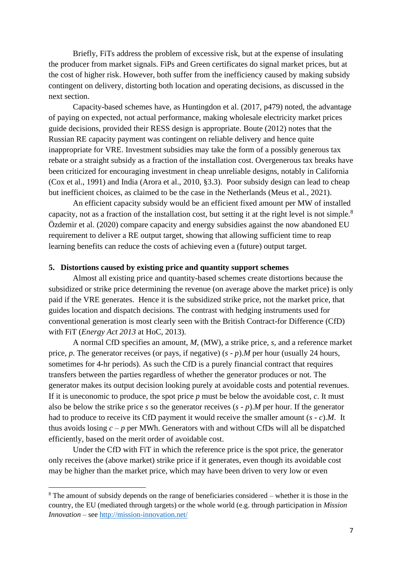Briefly, FiTs address the problem of excessive risk, but at the expense of insulating the producer from market signals. FiPs and Green certificates do signal market prices, but at the cost of higher risk. However, both suffer from the inefficiency caused by making subsidy contingent on delivery, distorting both location and operating decisions, as discussed in the next section.

Capacity-based schemes have, as Huntingdon et al. (2017, p479) noted, the advantage of paying on expected, not actual performance, making wholesale electricity market prices guide decisions, provided their RESS design is appropriate. Boute (2012) notes that the Russian RE capacity payment was contingent on reliable delivery and hence quite inappropriate for VRE. Investment subsidies may take the form of a possibly generous tax rebate or a straight subsidy as a fraction of the installation cost. Overgenerous tax breaks have been criticized for encouraging investment in cheap unreliable designs, notably in California (Cox et al., 1991) and India (Arora et al., 2010, §3.3). Poor subsidy design can lead to cheap but inefficient choices, as claimed to be the case in the Netherlands (Meus et al., 2021).

An efficient capacity subsidy would be an efficient fixed amount per MW of installed capacity, not as a fraction of the installation cost, but setting it at the right level is not simple.<sup>8</sup> Özdemir et al. (2020) compare capacity and energy subsidies against the now abandoned EU requirement to deliver a RE output target, showing that allowing sufficient time to reap learning benefits can reduce the costs of achieving even a (future) output target.

#### **5. Distortions caused by existing price and quantity support schemes**

Almost all existing price and quantity-based schemes create distortions because the subsidized or strike price determining the revenue (on average above the market price) is only paid if the VRE generates. Hence it is the subsidized strike price, not the market price, that guides location and dispatch decisions. The contrast with hedging instruments used for conventional generation is most clearly seen with the British Contract-for Difference (CfD) with FiT (*Energy Act 2013* at HoC, 2013).

A normal CfD specifies an amount, *M*, (MW), a strike price, *s*, and a reference market price, *p*. The generator receives (or pays, if negative) (*s - p*).*M* per hour (usually 24 hours, sometimes for 4-hr periods). As such the CfD is a purely financial contract that requires transfers between the parties regardless of whether the generator produces or not. The generator makes its output decision looking purely at avoidable costs and potential revenues. If it is uneconomic to produce, the spot price *p* must be below the avoidable cost, *c*. It must also be below the strike price *s* so the generator receives (*s - p*).*M* per hour. If the generator had to produce to receive its CfD payment it would receive the smaller amount (*s - c*).*M*. It thus avoids losing  $c - p$  per MWh. Generators with and without CfDs will all be dispatched efficiently, based on the merit order of avoidable cost.

Under the CfD with FiT in which the reference price is the spot price, the generator only receives the (above market) strike price if it generates, even though its avoidable cost may be higher than the market price, which may have been driven to very low or even

<sup>8</sup> The amount of subsidy depends on the range of beneficiaries considered – whether it is those in the country, the EU (mediated through targets) or the whole world (e.g. through participation in *Mission Innovation* – see<http://mission-innovation.net/>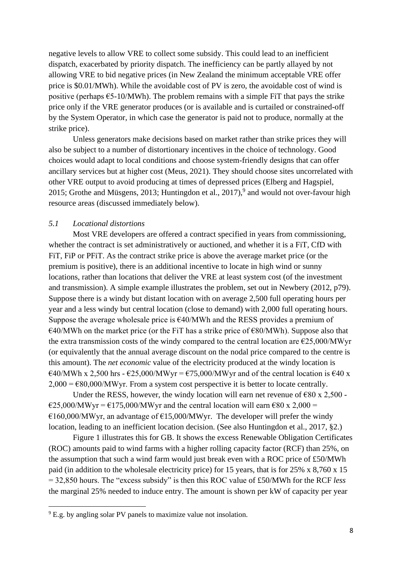negative levels to allow VRE to collect some subsidy. This could lead to an inefficient dispatch, exacerbated by priority dispatch. The inefficiency can be partly allayed by not allowing VRE to bid negative prices (in New Zealand the minimum acceptable VRE offer price is \$0.01/MWh). While the avoidable cost of PV is zero, the avoidable cost of wind is positive (perhaps  $\epsilon$ 5-10/MWh). The problem remains with a simple FiT that pays the strike price only if the VRE generator produces (or is available and is curtailed or constrained-off by the System Operator, in which case the generator is paid not to produce, normally at the strike price).

Unless generators make decisions based on market rather than strike prices they will also be subject to a number of distortionary incentives in the choice of technology. Good choices would adapt to local conditions and choose system-friendly designs that can offer ancillary services but at higher cost (Meus, 2021). They should choose sites uncorrelated with other VRE output to avoid producing at times of depressed prices (Elberg and Hagspiel, 2015; Grothe and Müsgens, 2013; Huntingdon et al.,  $2017$ ,  $9$  and would not over-favour high resource areas (discussed immediately below).

#### *5.1 Locational distortions*

Most VRE developers are offered a contract specified in years from commissioning, whether the contract is set administratively or auctioned, and whether it is a FiT, CfD with FiT, FiP or PFiT. As the contract strike price is above the average market price (or the premium is positive), there is an additional incentive to locate in high wind or sunny locations, rather than locations that deliver the VRE at least system cost (of the investment and transmission). A simple example illustrates the problem, set out in Newbery (2012, p79). Suppose there is a windy but distant location with on average 2,500 full operating hours per year and a less windy but central location (close to demand) with 2,000 full operating hours. Suppose the average wholesale price is  $\epsilon$ 40/MWh and the RESS provides a premium of  $E=40/MWh$  on the market price (or the FiT has a strike price of  $E=80/MWh$ ). Suppose also that the extra transmission costs of the windy compared to the central location are  $\epsilon$ 25,000/MWyr (or equivalently that the annual average discount on the nodal price compared to the centre is this amount). The *net economic* value of the electricity produced at the windy location is  $\epsilon$ 40/MWh x 2,500 hrs -  $\epsilon$ 25,000/MWyr =  $\epsilon$ 75,000/MWyr and of the central location is  $\epsilon$ 40 x  $2,000 = \text{\textsterling}80,000/\text{MWyr}$ . From a system cost perspective it is better to locate centrally.

Under the RESS, however, the windy location will earn net revenue of  $\epsilon$ 80 x 2,500 - $\text{\textsterling}25,000/MWyr = \text{\textsterling}175,000/MWyr$  and the central location will earn  $\text{\textsterling}80 \times 2,000$  =  $€160,000/MWyr$ , an advantage of  $€15,000/MWyr$ . The developer will prefer the windy location, leading to an inefficient location decision. (See also Huntingdon et al., 2017, §2.)

Figure 1 illustrates this for GB. It shows the excess Renewable Obligation Certificates (ROC) amounts paid to wind farms with a higher rolling capacity factor (RCF) than 25%, on the assumption that such a wind farm would just break even with a ROC price of £50/MWh paid (in addition to the wholesale electricity price) for 15 years, that is for 25% x 8,760 x 15 = 32,850 hours. The "excess subsidy" is then this ROC value of £50/MWh for the RCF *less* the marginal 25% needed to induce entry. The amount is shown per kW of capacity per year

<sup>&</sup>lt;sup>9</sup> E.g. by angling solar PV panels to maximize value not insolation.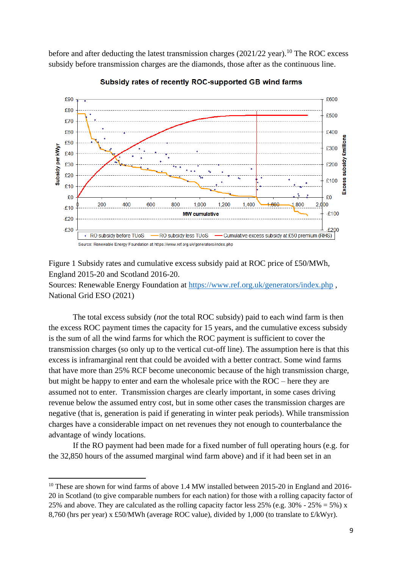before and after deducting the latest transmission charges ( $2021/22$  year).<sup>10</sup> The ROC excess subsidy before transmission charges are the diamonds, those after as the continuous line.



Subsidy rates of recently ROC-supported GB wind farms

Figure 1 Subsidy rates and cumulative excess subsidy paid at ROC price of £50/MWh, England 2015-20 and Scotland 2016-20. Sources: Renewable Energy Foundation at<https://www.ref.org.uk/generators/index.php> , National Grid ESO (2021)

The total excess subsidy (*not* the total ROC subsidy) paid to each wind farm is then the excess ROC payment times the capacity for 15 years, and the cumulative excess subsidy is the sum of all the wind farms for which the ROC payment is sufficient to cover the transmission charges (so only up to the vertical cut-off line). The assumption here is that this excess is inframarginal rent that could be avoided with a better contract. Some wind farms that have more than 25% RCF become uneconomic because of the high transmission charge, but might be happy to enter and earn the wholesale price with the ROC – here they are assumed not to enter. Transmission charges are clearly important, in some cases driving revenue below the assumed entry cost, but in some other cases the transmission charges are negative (that is, generation is paid if generating in winter peak periods). While transmission charges have a considerable impact on net revenues they not enough to counterbalance the advantage of windy locations.

If the RO payment had been made for a fixed number of full operating hours (e.g. for the 32,850 hours of the assumed marginal wind farm above) and if it had been set in an

<sup>&</sup>lt;sup>10</sup> These are shown for wind farms of above 1.4 MW installed between 2015-20 in England and 2016-20 in Scotland (to give comparable numbers for each nation) for those with a rolling capacity factor of 25% and above. They are calculated as the rolling capacity factor less 25% (e.g. 30% - 25% = 5%) x 8,760 (hrs per year) x £50/MWh (average ROC value), divided by 1,000 (to translate to £/kWyr).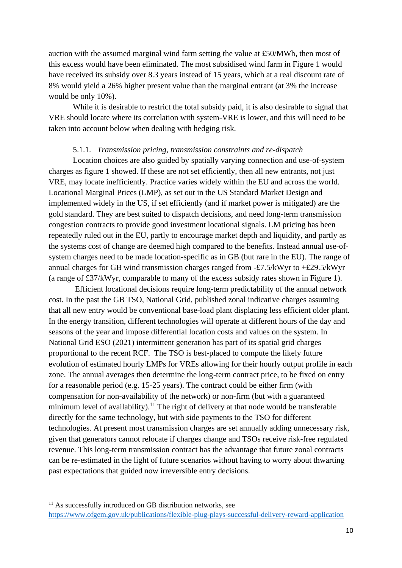auction with the assumed marginal wind farm setting the value at £50/MWh, then most of this excess would have been eliminated. The most subsidised wind farm in Figure 1 would have received its subsidy over 8.3 years instead of 15 years, which at a real discount rate of 8% would yield a 26% higher present value than the marginal entrant (at 3% the increase would be only 10%).

While it is desirable to restrict the total subsidy paid, it is also desirable to signal that VRE should locate where its correlation with system-VRE is lower, and this will need to be taken into account below when dealing with hedging risk.

#### 5.1.1. *Transmission pricing, transmission constraints and re-dispatch*

Location choices are also guided by spatially varying connection and use-of-system charges as figure 1 showed. If these are not set efficiently, then all new entrants, not just VRE, may locate inefficiently. Practice varies widely within the EU and across the world. Locational Marginal Prices (LMP), as set out in the US Standard Market Design and implemented widely in the US, if set efficiently (and if market power is mitigated) are the gold standard. They are best suited to dispatch decisions, and need long-term transmission congestion contracts to provide good investment locational signals. LM pricing has been repeatedly ruled out in the EU, partly to encourage market depth and liquidity, and partly as the systems cost of change are deemed high compared to the benefits. Instead annual use-ofsystem charges need to be made location-specific as in GB (but rare in the EU). The range of annual charges for GB wind transmission charges ranged from -£7.5/kWyr to +£29.5/kWyr (a range of £37/kWyr, comparable to many of the excess subsidy rates shown in Figure 1).

Efficient locational decisions require long-term predictability of the annual network cost. In the past the GB TSO, National Grid, published zonal indicative charges assuming that all new entry would be conventional base-load plant displacing less efficient older plant. In the energy transition, different technologies will operate at different hours of the day and seasons of the year and impose differential location costs and values on the system. In National Grid ESO (2021) intermittent generation has part of its spatial grid charges proportional to the recent RCF. The TSO is best-placed to compute the likely future evolution of estimated hourly LMPs for VREs allowing for their hourly output profile in each zone. The annual averages then determine the long-term contract price, to be fixed on entry for a reasonable period (e.g. 15-25 years). The contract could be either firm (with compensation for non-availability of the network) or non-firm (but with a guaranteed minimum level of availability).<sup>11</sup> The right of delivery at that node would be transferable directly for the same technology, but with side payments to the TSO for different technologies. At present most transmission charges are set annually adding unnecessary risk, given that generators cannot relocate if charges change and TSOs receive risk-free regulated revenue. This long-term transmission contract has the advantage that future zonal contracts can be re-estimated in the light of future scenarios without having to worry about thwarting past expectations that guided now irreversible entry decisions.

<sup>&</sup>lt;sup>11</sup> As successfully introduced on GB distribution networks, see <https://www.ofgem.gov.uk/publications/flexible-plug-plays-successful-delivery-reward-application>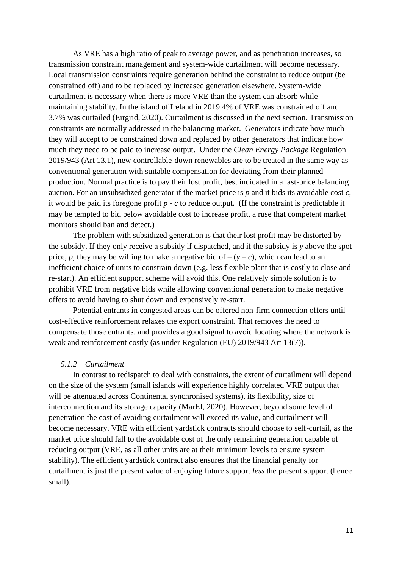As VRE has a high ratio of peak to average power, and as penetration increases, so transmission constraint management and system-wide curtailment will become necessary. Local transmission constraints require generation behind the constraint to reduce output (be constrained off) and to be replaced by increased generation elsewhere. System-wide curtailment is necessary when there is more VRE than the system can absorb while maintaining stability. In the island of Ireland in 2019 4% of VRE was constrained off and 3.7% was curtailed (Eirgrid, 2020). Curtailment is discussed in the next section. Transmission constraints are normally addressed in the balancing market. Generators indicate how much they will accept to be constrained down and replaced by other generators that indicate how much they need to be paid to increase output. Under the *Clean Energy Package* Regulation 2019/943 (Art 13.1), new controllable-down renewables are to be treated in the same way as conventional generation with suitable compensation for deviating from their planned production. Normal practice is to pay their lost profit, best indicated in a last-price balancing auction. For an unsubsidized generator if the market price is *p* and it bids its avoidable cost *c*, it would be paid its foregone profit *p - c* to reduce output. (If the constraint is predictable it may be tempted to bid below avoidable cost to increase profit, a ruse that competent market monitors should ban and detect.)

The problem with subsidized generation is that their lost profit may be distorted by the subsidy. If they only receive a subsidy if dispatched, and if the subsidy is *y* above the spot price, *p*, they may be willing to make a negative bid of  $-(y - c)$ , which can lead to an inefficient choice of units to constrain down (e.g. less flexible plant that is costly to close and re-start). An efficient support scheme will avoid this. One relatively simple solution is to prohibit VRE from negative bids while allowing conventional generation to make negative offers to avoid having to shut down and expensively re-start.

Potential entrants in congested areas can be offered non-firm connection offers until cost-effective reinforcement relaxes the export constraint. That removes the need to compensate those entrants, and provides a good signal to avoid locating where the network is weak and reinforcement costly (as under Regulation (EU) 2019/943 Art 13(7)).

#### *5.1.2 Curtailment*

In contrast to redispatch to deal with constraints, the extent of curtailment will depend on the size of the system (small islands will experience highly correlated VRE output that will be attenuated across Continental synchronised systems), its flexibility, size of interconnection and its storage capacity (MarEI, 2020). However, beyond some level of penetration the cost of avoiding curtailment will exceed its value, and curtailment will become necessary. VRE with efficient yardstick contracts should choose to self-curtail, as the market price should fall to the avoidable cost of the only remaining generation capable of reducing output (VRE, as all other units are at their minimum levels to ensure system stability). The efficient yardstick contract also ensures that the financial penalty for curtailment is just the present value of enjoying future support *less* the present support (hence small).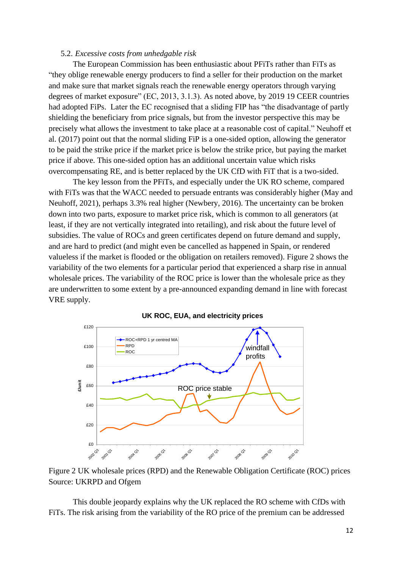#### 5.2. *Excessive costs from unhedgable risk*

The European Commission has been enthusiastic about PFiTs rather than FiTs as "they oblige renewable energy producers to find a seller for their production on the market and make sure that market signals reach the renewable energy operators through varying degrees of market exposure" (EC, 2013, 3.1.3). As noted above, by 2019 19 CEER countries had adopted FiPs. Later the EC recognised that a sliding FIP has "the disadvantage of partly shielding the beneficiary from price signals, but from the investor perspective this may be precisely what allows the investment to take place at a reasonable cost of capital." Neuhoff et al. (2017) point out that the normal sliding FiP is a one-sided option, allowing the generator to be paid the strike price if the market price is below the strike price, but paying the market price if above. This one-sided option has an additional uncertain value which risks overcompensating RE, and is better replaced by the UK CfD with FiT that is a two-sided.

The key lesson from the PFiTs, and especially under the UK RO scheme, compared with FiTs was that the WACC needed to persuade entrants was considerably higher (May and Neuhoff, 2021), perhaps 3.3% real higher (Newbery, 2016). The uncertainty can be broken down into two parts, exposure to market price risk, which is common to all generators (at least, if they are not vertically integrated into retailing), and risk about the future level of subsidies. The value of ROCs and green certificates depend on future demand and supply, and are hard to predict (and might even be cancelled as happened in Spain, or rendered valueless if the market is flooded or the obligation on retailers removed). Figure 2 shows the variability of the two elements for a particular period that experienced a sharp rise in annual wholesale prices. The variability of the ROC price is lower than the wholesale price as they are underwritten to some extent by a pre-announced expanding demand in line with forecast VRE supply.



#### **UK ROC, EUA, and electricity prices**

Figure 2 UK wholesale prices (RPD) and the Renewable Obligation Certificate (ROC) prices Source: UKRPD and Ofgem

This double jeopardy explains why the UK replaced the RO scheme with CfDs with FiTs. The risk arising from the variability of the RO price of the premium can be addressed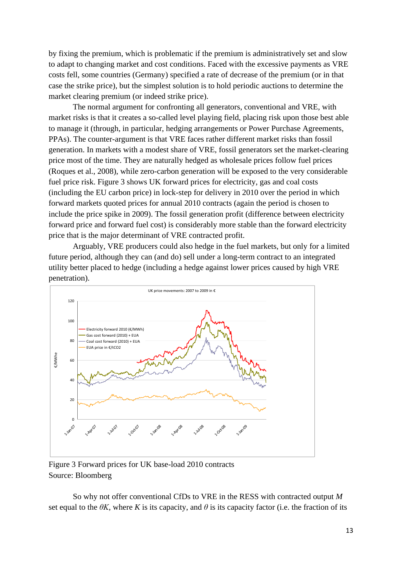by fixing the premium, which is problematic if the premium is administratively set and slow to adapt to changing market and cost conditions. Faced with the excessive payments as VRE costs fell, some countries (Germany) specified a rate of decrease of the premium (or in that case the strike price), but the simplest solution is to hold periodic auctions to determine the market clearing premium (or indeed strike price).

The normal argument for confronting all generators, conventional and VRE, with market risks is that it creates a so-called level playing field, placing risk upon those best able to manage it (through, in particular, hedging arrangements or Power Purchase Agreements, PPAs). The counter-argument is that VRE faces rather different market risks than fossil generation. In markets with a modest share of VRE, fossil generators set the market-clearing price most of the time. They are naturally hedged as wholesale prices follow fuel prices (Roques et al., 2008), while zero-carbon generation will be exposed to the very considerable fuel price risk. Figure 3 shows UK forward prices for electricity, gas and coal costs (including the EU carbon price) in lock-step for delivery in 2010 over the period in which forward markets quoted prices for annual 2010 contracts (again the period is chosen to include the price spike in 2009). The fossil generation profit (difference between electricity forward price and forward fuel cost) is considerably more stable than the forward electricity price that is the major determinant of VRE contracted profit.

Arguably, VRE producers could also hedge in the fuel markets, but only for a limited future period, although they can (and do) sell under a long-term contract to an integrated utility better placed to hedge (including a hedge against lower prices caused by high VRE penetration).



Figure 3 Forward prices for UK base-load 2010 contracts Source: Bloomberg

So why not offer conventional CfDs to VRE in the RESS with contracted output *M* set equal to the  $\theta K$ , where K is its capacity, and  $\theta$  is its capacity factor (i.e. the fraction of its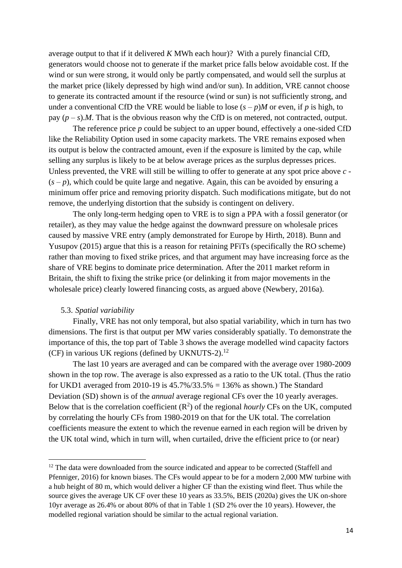average output to that if it delivered *K* MWh each hour)? With a purely financial CfD, generators would choose not to generate if the market price falls below avoidable cost. If the wind or sun were strong, it would only be partly compensated, and would sell the surplus at the market price (likely depressed by high wind and/or sun). In addition, VRE cannot choose to generate its contracted amount if the resource (wind or sun) is not sufficiently strong, and under a conventional CfD the VRE would be liable to lose  $(s - p)M$  or even, if *p* is high, to pay  $(p - s)$ .*M*. That is the obvious reason why the CfD is on metered, not contracted, output.

The reference price *p* could be subject to an upper bound, effectively a one-sided CfD like the Reliability Option used in some capacity markets. The VRE remains exposed when its output is below the contracted amount, even if the exposure is limited by the cap, while selling any surplus is likely to be at below average prices as the surplus depresses prices. Unless prevented, the VRE will still be willing to offer to generate at any spot price above *c -*  $(s - p)$ , which could be quite large and negative. Again, this can be avoided by ensuring a minimum offer price and removing priority dispatch. Such modifications mitigate, but do not remove, the underlying distortion that the subsidy is contingent on delivery.

The only long-term hedging open to VRE is to sign a PPA with a fossil generator (or retailer), as they may value the hedge against the downward pressure on wholesale prices caused by massive VRE entry (amply demonstrated for Europe by Hirth, 2018). Bunn and Yusupov (2015) argue that this is a reason for retaining PFiTs (specifically the RO scheme) rather than moving to fixed strike prices, and that argument may have increasing force as the share of VRE begins to dominate price determination. After the 2011 market reform in Britain, the shift to fixing the strike price (or delinking it from major movements in the wholesale price) clearly lowered financing costs, as argued above (Newbery, 2016a).

#### 5.3. *Spatial variability*

Finally, VRE has not only temporal, but also spatial variability, which in turn has two dimensions. The first is that output per MW varies considerably spatially. To demonstrate the importance of this, the top part of Table 3 shows the average modelled wind capacity factors (CF) in various UK regions (defined by UKNUTS-2). 12

The last 10 years are averaged and can be compared with the average over 1980-2009 shown in the top row. The average is also expressed as a ratio to the UK total. (Thus the ratio for UKD1 averaged from 2010-19 is  $45.7\%/33.5\% = 136\%$  as shown.) The Standard Deviation (SD) shown is of the *annual* average regional CFs over the 10 yearly averages. Below that is the correlation coefficient  $(R^2)$  of the regional *hourly* CFs on the UK, computed by correlating the hourly CFs from 1980-2019 on that for the UK total. The correlation coefficients measure the extent to which the revenue earned in each region will be driven by the UK total wind, which in turn will, when curtailed, drive the efficient price to (or near)

 $12$  The data were downloaded from the source indicated and appear to be corrected (Staffell and Pfenniger, 2016) for known biases. The CFs would appear to be for a modern 2,000 MW turbine with a hub height of 80 m, which would deliver a higher CF than the existing wind fleet. Thus while the source gives the average UK CF over these 10 years as 33.5%, BEIS (2020a) gives the UK on-shore 10yr average as 26.4% or about 80% of that in Table 1 (SD 2% over the 10 years). However, the modelled regional variation should be similar to the actual regional variation.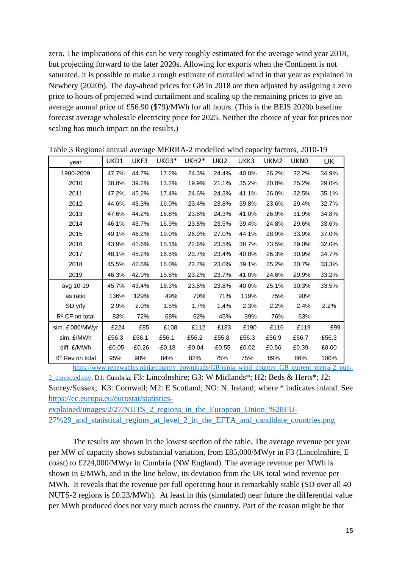zero. The implications of this can be very roughly estimated for the average wind year 2018, but projecting forward to the later 2020s. Allowing for exports when the Continent is not saturated, it is possible to make a rough estimate of curtailed wind in that year as explained in Newbery (2020b). The day-ahead prices for GB in 2018 are then adjusted by assigning a zero price to hours of projected wind curtailment and scaling up the remaining prices to give an average annual price of £56.90 (\$79)/MWh for all hours. (This is the BEIS 2020b baseline forecast average wholesale electricity price for 2025. Neither the choice of year for prices nor scaling has much impact on the results.)

| year               | UKD1   | UKF3   | UKG3*    | UKH <sub>2</sub> * | UKJ2     | UKK3  | UKM2  | <b>UKNO</b> | UK    |
|--------------------|--------|--------|----------|--------------------|----------|-------|-------|-------------|-------|
| 1980-2009          | 47.7%  | 44.7%  | 17.2%    | 24.3%              | 24.4%    | 40.8% | 26.2% | 32.2%       | 34.9% |
| 2010               | 38.8%  | 39.2%  | 13.2%    | 19.9%              | 21.1%    | 35.2% | 20.8% | 25.2%       | 29.0% |
| 2011               | 47.2%  | 45.2%  | 17.4%    | 24.6%              | 24.3%    | 41.1% | 26.0% | 32.5%       | 35.1% |
| 2012               | 44.6%  | 43.3%  | 16.0%    | 23.4%              | 23.8%    | 39.8% | 23.6% | 29.4%       | 32.7% |
| 2013               | 47.6%  | 44.2%  | 16.8%    | 23.8%              | 24.3%    | 41.0% | 26.9% | 31.9%       | 34.8% |
| 2014               | 46.1%  | 43.7%  | 16.9%    | 23.8%              | 23.5%    | 39.4% | 24.8% | 29.6%       | 33.6% |
| 2015               | 49.1%  | 46.2%  | 19.0%    | 26.9%              | 27.0%    | 44.1% | 28.9% | 33.9%       | 37.0% |
| 2016               | 43.9%  | 41.6%  | 15.1%    | 22.6%              | 23.5%    | 38.7% | 23.5% | 29.0%       | 32.0% |
| 2017               | 48.1%  | 45.2%  | 16.5%    | 23.7%              | 23.4%    | 40.8% | 26.3% | 30.9%       | 34.7% |
| 2018               | 45.5%  | 42.6%  | 16.0%    | 22.7%              | 23.0%    | 39.1% | 25.2% | 30.7%       | 33.3% |
| 2019               | 46.3%  | 42.9%  | 15.8%    | 23.2%              | 23.7%    | 41.0% | 24.6% | 29.9%       | 33.2% |
| avg 10-19          | 45.7%  | 43.4%  | 16.3%    | 23.5%              | 23.8%    | 40.0% | 25.1% | 30.3%       | 33.5% |
| as ratio           | 136%   | 129%   | 49%      | 70%                | 71%      | 119%  | 75%   | 90%         |       |
| SD yrly            | 2.9%   | 2.0%   | 1.5%     | 1.7%               | 1.4%     | 2.3%  | 2.2%  | 2.4%        | 2.2%  |
| $R^2$ CF on total  | 83%    | 72%    | 68%      | 62%                | 45%      | 39%   | 76%   | 63%         |       |
| sim. £'000/MWyr    | £224   | £85    | £108     | £112               | £183     | £190  | £116  | £119        | £99   |
| sim. £/MWh         | £56.3  | £56.1  | £56.1    | £56.2              | £55.8    | £56.3 | £56.9 | £56.7       | £56.3 |
| diff. £/MWh        | -£0.05 | -£0.26 | $-£0.18$ | -£0.04             | $-£0.55$ | £0.02 | £0.56 | £0.39       | £0.00 |
| $R^2$ Rev on total | 95%    | 90%    | 84%      | 82%                | 75%      | 75%   | 89%   | 86%         | 100%  |

Table 3 Regional annual average MERRA-2 modelled wind capacity factors, 2010-19

[https://www.renewables.ninja/country\\_downloads/GB/ninja\\_wind\\_country\\_GB\\_current\\_merra-2\\_nuts-](https://www.renewables.ninja/country_downloads/GB/ninja_wind_country_GB_current_merra-2_nuts-2_corrected.csv)[2\\_corrected.csv,](https://www.renewables.ninja/country_downloads/GB/ninja_wind_country_GB_current_merra-2_nuts-2_corrected.csv) D1: Cumbria; F3: Lincolnshire; G3: W Midlands\*; H2: Beds & Herts\*; J2: Surrey/Sussex; K3: Cornwall; M2: E Scotland; NO: N. Ireland; where \* indicates inland. See [https://ec.europa.eu/eurostat/statistics-](https://ec.europa.eu/eurostat/statistics-explained/images/2/27/NUTS_2_regions_in_the_European_Union_%28EU-27%29_and_statistical_regions_at_level_2_in_the_EFTA_and_candidate_countries.png)

explained/images/2/27/NUTS 2 regions in the European Union %28EU-[27%29\\_and\\_statistical\\_regions\\_at\\_level\\_2\\_in\\_the\\_EFTA\\_and\\_candidate\\_countries.png](https://ec.europa.eu/eurostat/statistics-explained/images/2/27/NUTS_2_regions_in_the_European_Union_%28EU-27%29_and_statistical_regions_at_level_2_in_the_EFTA_and_candidate_countries.png)

The results are shown in the lowest section of the table. The average revenue per year per MW of capacity shows substantial variation, from £85,000/MWyr in F3 (Lincolnshire, E coast) to £224,000/MWyr in Cumbria (NW England). The average revenue per MWh is shown in £/MWh, and in the line below, its deviation from the UK total wind revenue per MWh. It reveals that the revenue per full operating hour is remarkably stable (SD over all 40 NUTS-2 regions is £0.23/MWh). At least in this (simulated) near future the differential value per MWh produced does not vary much across the country. Part of the reason might be that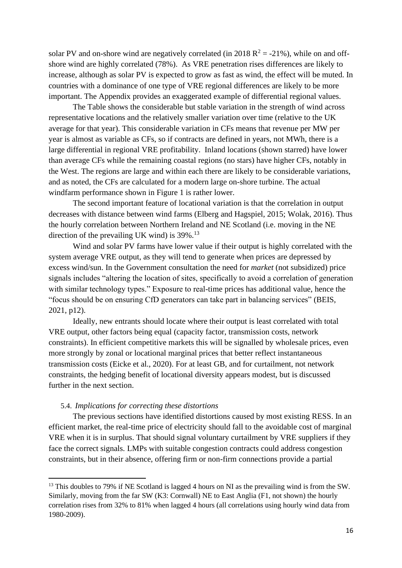solar PV and on-shore wind are negatively correlated (in 2018  $R^2 = -21\%$ ), while on and offshore wind are highly correlated (78%). As VRE penetration rises differences are likely to increase, although as solar PV is expected to grow as fast as wind, the effect will be muted. In countries with a dominance of one type of VRE regional differences are likely to be more important. The Appendix provides an exaggerated example of differential regional values.

The Table shows the considerable but stable variation in the strength of wind across representative locations and the relatively smaller variation over time (relative to the UK average for that year). This considerable variation in CFs means that revenue per MW per year is almost as variable as CFs, so if contracts are defined in years, not MWh, there is a large differential in regional VRE profitability. Inland locations (shown starred) have lower than average CFs while the remaining coastal regions (no stars) have higher CFs, notably in the West. The regions are large and within each there are likely to be considerable variations, and as noted, the CFs are calculated for a modern large on-shore turbine. The actual windfarm performance shown in Figure 1 is rather lower.

The second important feature of locational variation is that the correlation in output decreases with distance between wind farms (Elberg and Hagspiel, 2015; Wolak, 2016). Thus the hourly correlation between Northern Ireland and NE Scotland (i.e. moving in the NE direction of the prevailing UK wind) is  $39\%$ .<sup>13</sup>

Wind and solar PV farms have lower value if their output is highly correlated with the system average VRE output, as they will tend to generate when prices are depressed by excess wind/sun. In the Government consultation the need for *market* (not subsidized) price signals includes "altering the location of sites, specifically to avoid a correlation of generation with similar technology types." Exposure to real-time prices has additional value, hence the "focus should be on ensuring CfD generators can take part in balancing services" (BEIS, 2021, p12).

Ideally, new entrants should locate where their output is least correlated with total VRE output, other factors being equal (capacity factor, transmission costs, network constraints). In efficient competitive markets this will be signalled by wholesale prices, even more strongly by zonal or locational marginal prices that better reflect instantaneous transmission costs (Eicke et al., 2020). For at least GB, and for curtailment, not network constraints, the hedging benefit of locational diversity appears modest, but is discussed further in the next section.

#### 5.4. *Implications for correcting these distortions*

The previous sections have identified distortions caused by most existing RESS. In an efficient market, the real-time price of electricity should fall to the avoidable cost of marginal VRE when it is in surplus. That should signal voluntary curtailment by VRE suppliers if they face the correct signals. LMPs with suitable congestion contracts could address congestion constraints, but in their absence, offering firm or non-firm connections provide a partial

<sup>&</sup>lt;sup>13</sup> This doubles to 79% if NE Scotland is lagged 4 hours on NI as the prevailing wind is from the SW. Similarly, moving from the far SW (K3: Cornwall) NE to East Anglia (F1, not shown) the hourly correlation rises from 32% to 81% when lagged 4 hours (all correlations using hourly wind data from 1980-2009).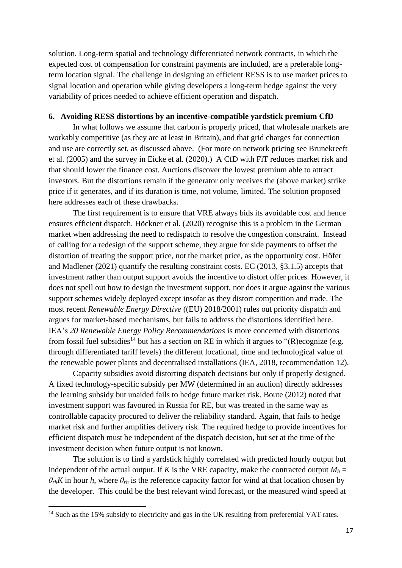solution. Long-term spatial and technology differentiated network contracts, in which the expected cost of compensation for constraint payments are included, are a preferable longterm location signal. The challenge in designing an efficient RESS is to use market prices to signal location and operation while giving developers a long-term hedge against the very variability of prices needed to achieve efficient operation and dispatch.

#### **6. Avoiding RESS distortions by an incentive-compatible yardstick premium CfD**

In what follows we assume that carbon is properly priced, that wholesale markets are workably competitive (as they are at least in Britain), and that grid charges for connection and use are correctly set, as discussed above. (For more on network pricing see Brunekreeft et al. (2005) and the survey in Eicke et al. (2020).) A CfD with FiT reduces market risk and that should lower the finance cost. Auctions discover the lowest premium able to attract investors. But the distortions remain if the generator only receives the (above market) strike price if it generates, and if its duration is time, not volume, limited. The solution proposed here addresses each of these drawbacks.

The first requirement is to ensure that VRE always bids its avoidable cost and hence ensures efficient dispatch. Höckner et al. (2020) recognise this is a problem in the German market when addressing the need to redispatch to resolve the congestion constraint. Instead of calling for a redesign of the support scheme, they argue for side payments to offset the distortion of treating the support price, not the market price, as the opportunity cost. Höfer and Madlener (2021) quantify the resulting constraint costs. EC (2013, §3.1.5) accepts that investment rather than output support avoids the incentive to distort offer prices. However, it does not spell out how to design the investment support, nor does it argue against the various support schemes widely deployed except insofar as they distort competition and trade. The most recent *Renewable Energy Directive* ((EU) 2018/2001) rules out priority dispatch and argues for market-based mechanisms, but fails to address the distortions identified here. IEA's *20 Renewable Energy Policy Recommendations* is more concerned with distortions from fossil fuel subsidies<sup>14</sup> but has a section on RE in which it argues to "(R)ecognize (e.g. through differentiated tariff levels) the different locational, time and technological value of the renewable power plants and decentralised installations (IEA, 2018, recommendation 12).

Capacity subsidies avoid distorting dispatch decisions but only if properly designed. A fixed technology-specific subsidy per MW (determined in an auction) directly addresses the learning subsidy but unaided fails to hedge future market risk. Boute (2012) noted that investment support was favoured in Russia for RE, but was treated in the same way as controllable capacity procured to deliver the reliability standard. Again, that fails to hedge market risk and further amplifies delivery risk. The required hedge to provide incentives for efficient dispatch must be independent of the dispatch decision, but set at the time of the investment decision when future output is not known.

The solution is to find a yardstick highly correlated with predicted hourly output but independent of the actual output. If *K* is the VRE capacity, make the contracted output  $M_h$  =  $\theta_{rh}$ *K* in hour *h*, where  $\theta_{rh}$  is the reference capacity factor for wind at that location chosen by the developer. This could be the best relevant wind forecast, or the measured wind speed at

<sup>&</sup>lt;sup>14</sup> Such as the 15% subsidy to electricity and gas in the UK resulting from preferential VAT rates.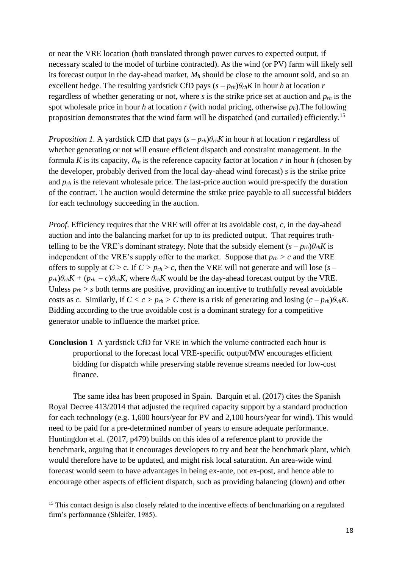or near the VRE location (both translated through power curves to expected output, if necessary scaled to the model of turbine contracted). As the wind (or PV) farm will likely sell its forecast output in the day-ahead market, *M<sup>h</sup>* should be close to the amount sold, and so an excellent hedge. The resulting yardstick CfD pays  $(s - p_{rh})\theta_{rh}K$  in hour *h* at location *r* regardless of whether generating or not, where *s* is the strike price set at auction and *prh* is the spot wholesale price in hour *h* at location *r* (with nodal pricing, otherwise *ph*).The following proposition demonstrates that the wind farm will be dispatched (and curtailed) efficiently.<sup>15</sup>

*Proposition* 1. A yardstick CfD that pays  $(s - p_{rh})\theta_{rh}K$  in hour *h* at location *r* regardless of whether generating or not will ensure efficient dispatch and constraint management. In the formula *K* is its capacity,  $\theta_{rh}$  is the reference capacity factor at location *r* in hour *h* (chosen by the developer, probably derived from the local day-ahead wind forecast) *s* is the strike price and  $p_{rh}$  is the relevant wholesale price. The last-price auction would pre-specify the duration of the contract. The auction would determine the strike price payable to all successful bidders for each technology succeeding in the auction.

*Proof*. Efficiency requires that the VRE will offer at its avoidable cost, *c*, in the day-ahead auction and into the balancing market for up to its predicted output. That requires truthtelling to be the VRE's dominant strategy. Note that the subsidy element  $(s - p_{rh})\theta_{rh}K$  is independent of the VRE's supply offer to the market. Suppose that  $p_{rh} > c$  and the VRE offers to supply at *C* > c. If *C > prh* > *c*, then the VRE will not generate and will lose (*s –*  $p_{rh}$ ) $\theta_{rh}$  $K + (p_{rh} - c)\theta_{rh}$  $K$ , where  $\theta_{rh}$  $K$  would be the day-ahead forecast output by the VRE. Unless  $p_{rh} > s$  both terms are positive, providing an incentive to truthfully reveal avoidable costs as *c*. Similarly, if  $C < c > p_{rh} > C$  there is a risk of generating and losing  $(c - p_{rh})\theta_{vh}K$ . Bidding according to the true avoidable cost is a dominant strategy for a competitive generator unable to influence the market price.

**Conclusion 1** A yardstick CfD for VRE in which the volume contracted each hour is proportional to the forecast local VRE-specific output/MW encourages efficient bidding for dispatch while preserving stable revenue streams needed for low-cost finance.

The same idea has been proposed in Spain. Barquín et al. (2017) cites the Spanish Royal Decree 413/2014 that adjusted the required capacity support by a standard production for each technology (e.g. 1,600 hours/year for PV and 2,100 hours/year for wind). This would need to be paid for a pre-determined number of years to ensure adequate performance. Huntingdon et al. (2017, p479) builds on this idea of a reference plant to provide the benchmark, arguing that it encourages developers to try and beat the benchmark plant, which would therefore have to be updated, and might risk local saturation. An area-wide wind forecast would seem to have advantages in being ex-ante, not ex-post, and hence able to encourage other aspects of efficient dispatch, such as providing balancing (down) and other

<sup>&</sup>lt;sup>15</sup> This contact design is also closely related to the incentive effects of benchmarking on a regulated firm's performance (Shleifer, 1985).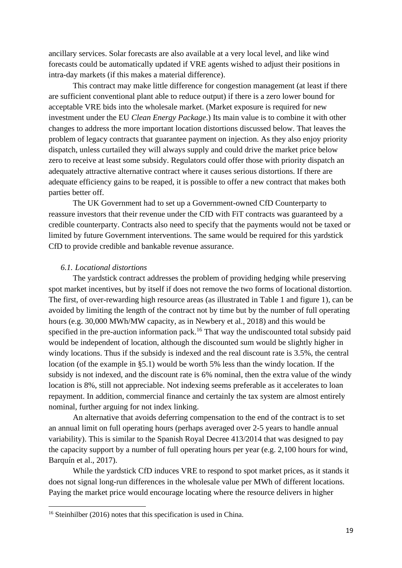ancillary services. Solar forecasts are also available at a very local level, and like wind forecasts could be automatically updated if VRE agents wished to adjust their positions in intra-day markets (if this makes a material difference).

This contract may make little difference for congestion management (at least if there are sufficient conventional plant able to reduce output) if there is a zero lower bound for acceptable VRE bids into the wholesale market. (Market exposure is required for new investment under the EU *Clean Energy Package*.) Its main value is to combine it with other changes to address the more important location distortions discussed below. That leaves the problem of legacy contracts that guarantee payment on injection. As they also enjoy priority dispatch, unless curtailed they will always supply and could drive the market price below zero to receive at least some subsidy. Regulators could offer those with priority dispatch an adequately attractive alternative contract where it causes serious distortions. If there are adequate efficiency gains to be reaped, it is possible to offer a new contract that makes both parties better off.

The UK Government had to set up a Government-owned CfD Counterparty to reassure investors that their revenue under the CfD with FiT contracts was guaranteed by a credible counterparty. Contracts also need to specify that the payments would not be taxed or limited by future Government interventions. The same would be required for this yardstick CfD to provide credible and bankable revenue assurance.

#### *6.1. Locational distortions*

The yardstick contract addresses the problem of providing hedging while preserving spot market incentives, but by itself if does not remove the two forms of locational distortion. The first, of over-rewarding high resource areas (as illustrated in Table 1 and figure 1), can be avoided by limiting the length of the contract not by time but by the number of full operating hours (e.g. 30,000 MWh/MW capacity, as in Newbery et al., 2018) and this would be specified in the pre-auction information pack.<sup>16</sup> That way the undiscounted total subsidy paid would be independent of location, although the discounted sum would be slightly higher in windy locations. Thus if the subsidy is indexed and the real discount rate is 3.5%, the central location (of the example in §5.1) would be worth 5% less than the windy location. If the subsidy is not indexed, and the discount rate is 6% nominal, then the extra value of the windy location is 8%, still not appreciable. Not indexing seems preferable as it accelerates to loan repayment. In addition, commercial finance and certainly the tax system are almost entirely nominal, further arguing for not index linking.

An alternative that avoids deferring compensation to the end of the contract is to set an annual limit on full operating hours (perhaps averaged over 2-5 years to handle annual variability). This is similar to the Spanish Royal Decree 413/2014 that was designed to pay the capacity support by a number of full operating hours per year (e.g. 2,100 hours for wind, Barquín et al., 2017).

While the yardstick CfD induces VRE to respond to spot market prices, as it stands it does not signal long-run differences in the wholesale value per MWh of different locations. Paying the market price would encourage locating where the resource delivers in higher

<sup>&</sup>lt;sup>16</sup> Steinhilber (2016) notes that this specification is used in China.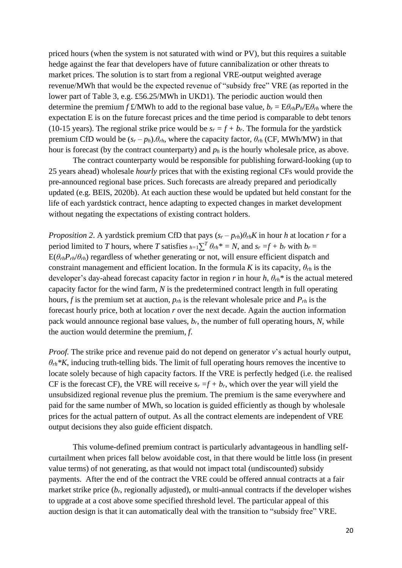priced hours (when the system is not saturated with wind or PV), but this requires a suitable hedge against the fear that developers have of future cannibalization or other threats to market prices. The solution is to start from a regional VRE-output weighted average revenue/MWh that would be the expected revenue of "subsidy free" VRE (as reported in the lower part of Table 3, e.g. £56.25/MWh in UKD1). The periodic auction would then determine the premium *f* £/MWh to add to the regional base value,  $b_r = E\theta_{rh}P_h/E\theta_{rh}$  where the expectation E is on the future forecast prices and the time period is comparable to debt tenors (10-15 years). The regional strike price would be  $s_r = f + b_r$ . The formula for the yardstick premium CfD would be  $(s_r - p_h) \theta_{rh}$ , where the capacity factor,  $\theta_{rh}$  (CF, MWh/MW) in that hour is forecast (by the contract counterparty) and *p<sup>h</sup>* is the hourly wholesale price, as above.

The contract counterparty would be responsible for publishing forward-looking (up to 25 years ahead) wholesale *hourly* prices that with the existing regional CFs would provide the pre-announced regional base prices. Such forecasts are already prepared and periodically updated (e.g. BEIS, 2020b). At each auction these would be updated but held constant for the life of each yardstick contract, hence adapting to expected changes in market development without negating the expectations of existing contract holders.

*Proposition 2.* A yardstick premium CfD that pays  $(s_r - p_{rh})\theta_{rh}K$  in hour *h* at location *r* for a period limited to *T* hours, where *T* satisfies  $_{h=1} \sum^{T} \theta_{rh}^* = N$ , and  $s_r = f + b_r$  with  $b_r =$  $E(\theta_{rh}P_{rh}/\theta_{rh})$  regardless of whether generating or not, will ensure efficient dispatch and constraint management and efficient location. In the formula *K* is its capacity,  $\theta_{rh}$  is the developer's day-ahead forecast capacity factor in region *r* in hour *h*, *θrh\** is the actual metered capacity factor for the wind farm, *N* is the predetermined contract length in full operating hours, *f* is the premium set at auction, *prh* is the relevant wholesale price and *Prh* is the forecast hourly price, both at location *r* over the next decade. Again the auction information pack would announce regional base values, *br*, the number of full operating hours, *N*, while the auction would determine the premium, *f*.

*Proof.* The strike price and revenue paid do not depend on generator *v*'s actual hourly output,  $\theta_{rh}$ <sup>\*</sup>K, inducing truth-telling bids. The limit of full operating hours removes the incentive to locate solely because of high capacity factors. If the VRE is perfectly hedged (i.e. the realised CF is the forecast CF), the VRE will receive  $s_r = f + b_r$ , which over the year will yield the unsubsidized regional revenue plus the premium. The premium is the same everywhere and paid for the same number of MWh, so location is guided efficiently as though by wholesale prices for the actual pattern of output. As all the contract elements are independent of VRE output decisions they also guide efficient dispatch.

This volume-defined premium contract is particularly advantageous in handling selfcurtailment when prices fall below avoidable cost, in that there would be little loss (in present value terms) of not generating, as that would not impact total (undiscounted) subsidy payments. After the end of the contract the VRE could be offered annual contracts at a fair market strike price (*br*, regionally adjusted), or multi-annual contracts if the developer wishes to upgrade at a cost above some specified threshold level. The particular appeal of this auction design is that it can automatically deal with the transition to "subsidy free" VRE.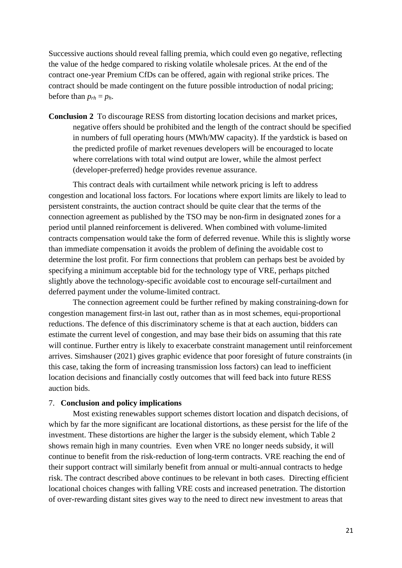Successive auctions should reveal falling premia, which could even go negative, reflecting the value of the hedge compared to risking volatile wholesale prices. At the end of the contract one-year Premium CfDs can be offered, again with regional strike prices. The contract should be made contingent on the future possible introduction of nodal pricing; before than  $p_{rh} = p_h$ .

**Conclusion 2** To discourage RESS from distorting location decisions and market prices, negative offers should be prohibited and the length of the contract should be specified in numbers of full operating hours (MWh/MW capacity). If the yardstick is based on the predicted profile of market revenues developers will be encouraged to locate where correlations with total wind output are lower, while the almost perfect (developer-preferred) hedge provides revenue assurance.

This contract deals with curtailment while network pricing is left to address congestion and locational loss factors. For locations where export limits are likely to lead to persistent constraints, the auction contract should be quite clear that the terms of the connection agreement as published by the TSO may be non-firm in designated zones for a period until planned reinforcement is delivered. When combined with volume-limited contracts compensation would take the form of deferred revenue. While this is slightly worse than immediate compensation it avoids the problem of defining the avoidable cost to determine the lost profit. For firm connections that problem can perhaps best be avoided by specifying a minimum acceptable bid for the technology type of VRE, perhaps pitched slightly above the technology-specific avoidable cost to encourage self-curtailment and deferred payment under the volume-limited contract.

The connection agreement could be further refined by making constraining-down for congestion management first-in last out, rather than as in most schemes, equi-proportional reductions. The defence of this discriminatory scheme is that at each auction, bidders can estimate the current level of congestion, and may base their bids on assuming that this rate will continue. Further entry is likely to exacerbate constraint management until reinforcement arrives. Simshauser (2021) gives graphic evidence that poor foresight of future constraints (in this case, taking the form of increasing transmission loss factors) can lead to inefficient location decisions and financially costly outcomes that will feed back into future RESS auction bids.

#### 7. **Conclusion and policy implications**

Most existing renewables support schemes distort location and dispatch decisions, of which by far the more significant are locational distortions, as these persist for the life of the investment. These distortions are higher the larger is the subsidy element, which Table 2 shows remain high in many countries. Even when VRE no longer needs subsidy, it will continue to benefit from the risk-reduction of long-term contracts. VRE reaching the end of their support contract will similarly benefit from annual or multi-annual contracts to hedge risk. The contract described above continues to be relevant in both cases. Directing efficient locational choices changes with falling VRE costs and increased penetration. The distortion of over-rewarding distant sites gives way to the need to direct new investment to areas that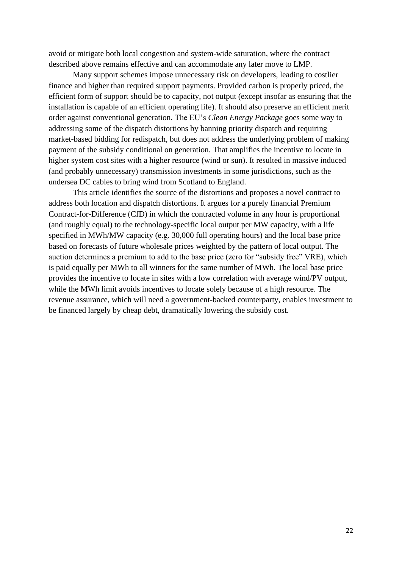avoid or mitigate both local congestion and system-wide saturation, where the contract described above remains effective and can accommodate any later move to LMP.

Many support schemes impose unnecessary risk on developers, leading to costlier finance and higher than required support payments. Provided carbon is properly priced, the efficient form of support should be to capacity, not output (except insofar as ensuring that the installation is capable of an efficient operating life). It should also preserve an efficient merit order against conventional generation. The EU's *Clean Energy Package* goes some way to addressing some of the dispatch distortions by banning priority dispatch and requiring market-based bidding for redispatch, but does not address the underlying problem of making payment of the subsidy conditional on generation. That amplifies the incentive to locate in higher system cost sites with a higher resource (wind or sun). It resulted in massive induced (and probably unnecessary) transmission investments in some jurisdictions, such as the undersea DC cables to bring wind from Scotland to England.

This article identifies the source of the distortions and proposes a novel contract to address both location and dispatch distortions. It argues for a purely financial Premium Contract-for-Difference (CfD) in which the contracted volume in any hour is proportional (and roughly equal) to the technology-specific local output per MW capacity, with a life specified in MWh/MW capacity (e.g. 30,000 full operating hours) and the local base price based on forecasts of future wholesale prices weighted by the pattern of local output. The auction determines a premium to add to the base price (zero for "subsidy free" VRE), which is paid equally per MWh to all winners for the same number of MWh. The local base price provides the incentive to locate in sites with a low correlation with average wind/PV output, while the MWh limit avoids incentives to locate solely because of a high resource. The revenue assurance, which will need a government-backed counterparty, enables investment to be financed largely by cheap debt, dramatically lowering the subsidy cost.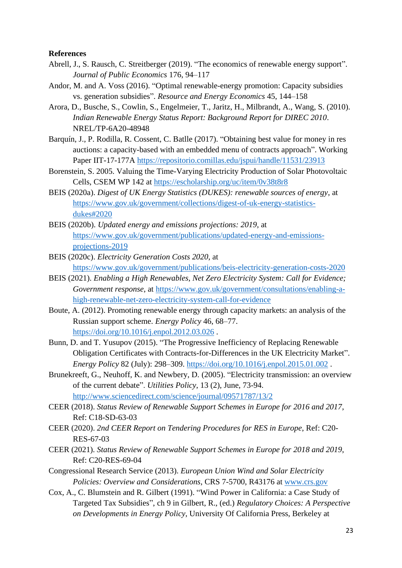#### **References**

- Abrell, J., S. Rausch, C. Streitberger (2019). "The economics of renewable energy support". *Journal of Public Economics* 176, 94–117
- Andor, M. and A. Voss (2016). "Optimal renewable-energy promotion: Capacity subsidies vs. generation subsidies". *Resource and Energy Economics* 45, 144–158
- Arora, D., Busche, S., Cowlin, S., Engelmeier, T., Jaritz, H., Milbrandt, A., Wang, S. (2010). *Indian Renewable Energy Status Report: Background Report for DIREC 2010*. NREL/TP-6A20-48948
- Barquín, J., P. Rodilla, R. Cossent, C. Batlle (2017). "Obtaining best value for money in res auctions: a capacity-based with an embedded menu of contracts approach". Working Paper IIT-17-177A <https://repositorio.comillas.edu/jspui/handle/11531/23913>
- Borenstein, S. 2005. Valuing the Time-Varying Electricity Production of Solar Photovoltaic Cells, CSEM WP 142 at<https://escholarship.org/uc/item/0v38t8r8>
- BEIS (2020a). *Digest of UK Energy Statistics (DUKES): renewable sources of energy*, at [https://www.gov.uk/government/collections/digest-of-uk-energy-statistics](https://www.gov.uk/government/collections/digest-of-uk-energy-statistics-dukes#2020)[dukes#2020](https://www.gov.uk/government/collections/digest-of-uk-energy-statistics-dukes#2020)
- BEIS (2020b). *Updated energy and emissions projections: 2019*, at [https://www.gov.uk/government/publications/updated-energy-and-emissions](https://www.gov.uk/government/publications/updated-energy-and-emissions-projections-2019)[projections-2019](https://www.gov.uk/government/publications/updated-energy-and-emissions-projections-2019)
- BEIS (2020c). *Electricity Generation Costs 2020*, at <https://www.gov.uk/government/publications/beis-electricity-generation-costs-2020>
- BEIS (2021). *Enabling a High Renewables, Net Zero Electricity System: Call for Evidence; Government response*, at [https://www.gov.uk/government/consultations/enabling-a](https://www.gov.uk/government/consultations/enabling-a-high-renewable-net-zero-electricity-system-call-for-evidence)[high-renewable-net-zero-electricity-system-call-for-evidence](https://www.gov.uk/government/consultations/enabling-a-high-renewable-net-zero-electricity-system-call-for-evidence)
- Boute, A. (2012). Promoting renewable energy through capacity markets: an analysis of the Russian support scheme. *Energy Policy* 46, 68–77. <https://doi.org/10.1016/j.enpol.2012.03.026> .
- Bunn, D. and T. Yusupov (2015). "The Progressive Inefficiency of Replacing Renewable Obligation Certificates with Contracts-for-Differences in the UK Electricity Market". *Energy Policy* 82 (July): 298–309.<https://doi.org/10.1016/j.enpol.2015.01.002> .
- Brunekreeft, G., Neuhoff, K. and Newbery, D. (2005). "Electricity transmission: an overview of the current debate". *Utilities Policy*, 13 (2), June, 73-94. <http://www.sciencedirect.com/science/journal/09571787/13/2>
- CEER (2018). *Status Review of Renewable Support Schemes in Europe for 2016 and 2017*, Ref: C18-SD-63-03
- CEER (2020). *2nd CEER Report on Tendering Procedures for RES in Europe*, Ref: C20- RES-67-03
- CEER (2021). *Status Review of Renewable Support Schemes in Europe for 2018 and 2019*, Ref: C20-RES-69-04
- Congressional Research Service (2013). *European Union Wind and Solar Electricity Policies: Overview and Considerations*, CRS 7-5700, R43176 at [www.crs.gov](http://www.crs.gov/)
- Cox, A., C. Blumstein and R. Gilbert (1991). "Wind Power in California: a Case Study of Targeted Tax Subsidies", ch 9 in Gilbert, R., (ed.) *Regulatory Choices: A Perspective on Developments in Energy Policy*, University Of California Press, Berkeley at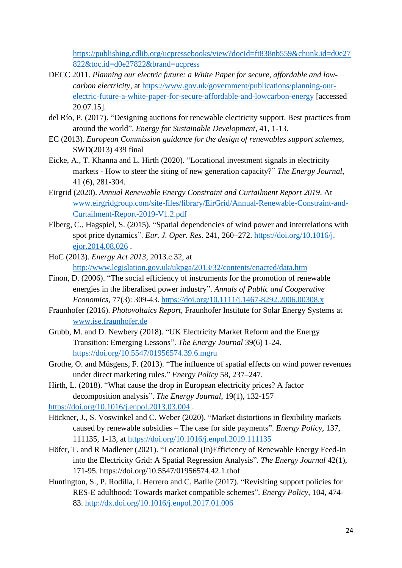[https://publishing.cdlib.org/ucpressebooks/view?docId=ft838nb559&chunk.id=d0e27](https://publishing.cdlib.org/ucpressebooks/view?docId=ft838nb559&chunk.id=d0e27822&toc.id=d0e27822&brand=ucpress) [822&toc.id=d0e27822&brand=ucpress](https://publishing.cdlib.org/ucpressebooks/view?docId=ft838nb559&chunk.id=d0e27822&toc.id=d0e27822&brand=ucpress)

- DECC 2011. *Planning our electric future: a White Paper for secure, affordable and lowcarbon electricity*, at [https://www.gov.uk/government/publications/planning-our](https://www.gov.uk/government/publications/planning-our-electric-future-a-white-paper-for-secure-affordable-and-lowcarbon-energy)[electric-future-a-white-paper-for-secure-affordable-and-lowcarbon-energy](https://www.gov.uk/government/publications/planning-our-electric-future-a-white-paper-for-secure-affordable-and-lowcarbon-energy) [accessed 20.07.15].
- del Río, P. (2017). "Designing auctions for renewable electricity support. Best practices from around the world". *Energy for Sustainable Development*, 41, 1-13.
- EC (2013). *European Commission guidance for the design of renewables support schemes*, SWD(2013) 439 final
- Eicke, A., T. Khanna and L. Hirth (2020). "Locational investment signals in electricity markets - How to steer the siting of new generation capacity?" *The Energy Journal*, 41 (6), 281-304.
- Eirgrid (2020). *Annual Renewable Energy Constraint and Curtailment Report 2019*. At [www.eirgridgroup.com/site-files/library/EirGrid/Annual-Renewable-Constraint-and-](http://www.eirgridgroup.com/site-files/library/EirGrid/Annual-Renewable-Constraint-and-Curtailment-Report-2019-V1.2.pdf)[Curtailment-Report-2019-V1.2.pdf](http://www.eirgridgroup.com/site-files/library/EirGrid/Annual-Renewable-Constraint-and-Curtailment-Report-2019-V1.2.pdf)
- Elberg, C., Hagspiel, S. (2015). "Spatial dependencies of wind power and interrelations with spot price dynamics". *Eur. J. Oper. Res*. 241, 260–272. [https://doi.org/10.1016/j.](https://doi.org/10.1016/j.%20ejor.2014.08.026)  [ejor.2014.08.026](https://doi.org/10.1016/j.%20ejor.2014.08.026) .
- HoC (2013). *Energy Act 2013*, 2013.c.32, at <http://www.legislation.gov.uk/ukpga/2013/32/contents/enacted/data.htm>
- Finon, D. (2006). "The social efficiency of instruments for the promotion of renewable energies in the liberalised power industry". *Annals of Public and Cooperative Economics*, 77(3): 309-43.<https://doi.org/10.1111/j.1467-8292.2006.00308.x>
- Fraunhofer (2016). *Photovoltaics Report*, Fraunhofer Institute for Solar Energy Systems at [www.ise.fraunhofer.de](http://www.ise.fraunhofer.de/)
- Grubb, M. and D. Newbery (2018). "UK Electricity Market Reform and the Energy Transition: Emerging Lessons". *The Energy Journal* 39(6) 1-24. <https://doi.org/10.5547/01956574.39.6.mgru>
- Grothe, O. and Müsgens, F. (2013). "The influence of spatial effects on wind power revenues under direct marketing rules." *Energy Policy* 58, 237–247.
- Hirth, L. (2018). "What cause the drop in European electricity prices? A factor decomposition analysis". *The Energy Journal*, 19(1), 132-157

<https://doi.org/10.1016/j.enpol.2013.03.004> .

- Höckner, J., S. Voswinkel and C. Weber (2020). "Market distortions in flexibility markets caused by renewable subsidies – The case for side payments". *Energy Policy*, 137, 111135, 1-13, at<https://doi.org/10.1016/j.enpol.2019.111135>
- Höfer, T. and R Madlener (2021). "Locational (In)Efficiency of Renewable Energy Feed-In into the Electricity Grid: A Spatial Regression Analysis". *The Energy Journal* 42(1), 171-95. https://doi.org/10.5547/01956574.42.1.thof
- Huntington, S., P. Rodilla, I. Herrero and C. Batlle (2017). "Revisiting support policies for RES-E adulthood: Towards market compatible schemes". *Energy Policy*, 104, 474- 83.<http://dx.doi.org/10.1016/j.enpol.2017.01.006>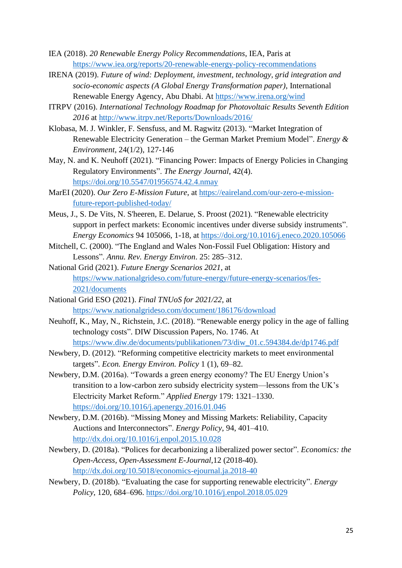- IEA (2018). *20 Renewable Energy Policy Recommendations*, IEA, Paris at <https://www.iea.org/reports/20-renewable-energy-policy-recommendations>
- IRENA (2019). *Future of wind: Deployment, investment, technology, grid integration and socio-economic aspects (A Global Energy Transformation paper)*, International Renewable Energy Agency, Abu Dhabi. At<https://www.irena.org/wind>
- ITRPV (2016). *International Technology Roadmap for Photovoltaic Results Seventh Edition 2016* at<http://www.itrpv.net/Reports/Downloads/2016/>
- Klobasa, M. J. Winkler, F. Sensfuss, and M. Ragwitz (2013). "Market Integration of Renewable Electricity Generation – the German Market Premium Model". *Energy & Environment*, 24(1/2), 127-146
- May, N. and K. Neuhoff (2021). "Financing Power: Impacts of Energy Policies in Changing Regulatory Environments". *The Energy Journal*, 42(4). <https://doi.org/10.5547/01956574.42.4.nmay>
- MarEI (2020). *Our Zero E-Mission Future*, at [https://eaireland.com/our-zero-e-mission](https://eaireland.com/our-zero-e-mission-future-report-published-today/)[future-report-published-today/](https://eaireland.com/our-zero-e-mission-future-report-published-today/)
- Meus, J., S. De Vits, N. S'heeren, E. Delarue, S. Proost (2021). "Renewable electricity support in perfect markets: Economic incentives under diverse subsidy instruments". *Energy Economics* 94 105066, 1-18, at<https://doi.org/10.1016/j.eneco.2020.105066>
- Mitchell, C. (2000). "The England and Wales Non-Fossil Fuel Obligation: History and Lessons". *Annu. Rev. Energy Environ*. 25: 285–312.
- National Grid (2021). *Future Energy Scenarios 2021,* at [https://www.nationalgrideso.com/future-energy/future-energy-scenarios/fes-](https://www.nationalgrideso.com/future-energy/future-energy-scenarios/fes-2021/documents)[2021/documents](https://www.nationalgrideso.com/future-energy/future-energy-scenarios/fes-2021/documents)
- National Grid ESO (2021). *Final TNUoS for 2021/22*, at <https://www.nationalgrideso.com/document/186176/download>
- Neuhoff, K., May, N., Richstein, J.C. (2018). "Renewable energy policy in the age of falling technology costs". DIW Discussion Papers, No. 1746. At [https://www.diw.de/documents/publikationen/73/diw\\_01.c.594384.de/dp1746.pdf](https://www.diw.de/documents/publikationen/73/diw_01.c.594384.de/dp1746.pdf)
- Newbery, D. (2012). "Reforming competitive electricity markets to meet environmental targets". *Econ. Energy Environ. Policy* 1 (1), 69–82.
- Newbery, D.M. (2016a). "Towards a green energy economy? The EU Energy Union's transition to a low-carbon zero subsidy electricity system—lessons from the UK's Electricity Market Reform." *Applied Energy* 179: 1321–1330. <https://doi.org/10.1016/j.apenergy.2016.01.046>
- Newbery, D.M. (2016b). "Missing Money and Missing Markets: Reliability, Capacity Auctions and Interconnectors". *Energy Policy*, 94, 401–410. <http://dx.doi.org/10.1016/j.enpol.2015.10.028>
- Newbery, D. (2018a). "Polices for decarbonizing a liberalized power sector". *Economics: the Open-Access, Open-Assessment E-Journal*,12 (2018-40). <http://dx.doi.org/10.5018/economics-ejournal.ja.2018-40>
- Newbery, D. (2018b). "Evaluating the case for supporting renewable electricity". *Energy Policy*, 120, 684–696.<https://doi.org/10.1016/j.enpol.2018.05.029>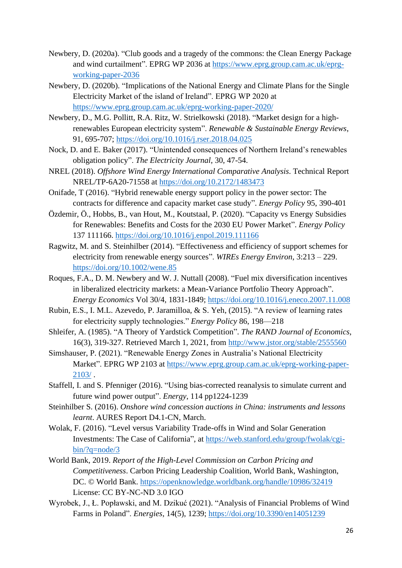- Newbery, D. (2020a). "Club goods and a tragedy of the commons: the Clean Energy Package and wind curtailment". EPRG WP 2036 at [https://www.eprg.group.cam.ac.uk/eprg](https://www.eprg.group.cam.ac.uk/eprg-working-paper-2036)[working-paper-2036](https://www.eprg.group.cam.ac.uk/eprg-working-paper-2036)
- Newbery, D. (2020b). "Implications of the National Energy and Climate Plans for the Single Electricity Market of the island of Ireland". EPRG WP 2020 at <https://www.eprg.group.cam.ac.uk/eprg-working-paper-2020/>
- Newbery, D., M.G. Pollitt, R.A. Ritz, W. Strielkowski (2018). "Market design for a highrenewables European electricity system". *Renewable & Sustainable Energy Reviews*, 91, 695-707;<https://doi.org/10.1016/j.rser.2018.04.025>
- Nock, D. and E. Baker (2017). "Unintended consequences of Northern Ireland's renewables obligation policy". *The Electricity Journal*, 30, 47-54.
- NREL (2018). *Offshore Wind Energy International Comparative Analysis*. Technical Report NREL/TP-6A20-71558 at<https://doi.org/10.2172/1483473>
- Onifade, T (2016). "Hybrid renewable energy support policy in the power sector: The contracts for difference and capacity market case study". *Energy Policy* 95, 390-401
- Özdemir, Ö., Hobbs, B., van Hout, M., Koutstaal, P. (2020). "Capacity vs Energy Subsidies for Renewables: Benefits and Costs for the 2030 EU Power Market". *Energy Policy* 137 111166.<https://doi.org/10.1016/j.enpol.2019.111166>
- Ragwitz, M. and S. Steinhilber (2014). "Effectiveness and efficiency of support schemes for electricity from renewable energy sources". *WIREs Energy Environ*, 3:213 – 229. <https://doi.org/10.1002/wene.85>
- Roques, F.A., D. M. Newbery and W. J. Nuttall (2008). "Fuel mix diversification incentives in liberalized electricity markets: a Mean-Variance Portfolio Theory Approach". *Energy Economics* Vol 30/4, 1831-1849;<https://doi.org/10.1016/j.eneco.2007.11.008>
- Rubin, E.S., I. M.L. Azevedo, P. Jaramilloa, & S. Yeh, (2015). "A review of learning rates for electricity supply technologies." *Energy Policy* 86, 198—218
- Shleifer, A. (1985). "A Theory of Yardstick Competition". *The RAND Journal of Economics*, 16(3), 319-327. Retrieved March 1, 2021, from<http://www.jstor.org/stable/2555560>
- Simshauser, P. (2021). "Renewable Energy Zones in Australia's National Electricity Market". EPRG WP 2103 at [https://www.eprg.group.cam.ac.uk/eprg-working-paper-](https://www.eprg.group.cam.ac.uk/eprg-working-paper-2103/)[2103/](https://www.eprg.group.cam.ac.uk/eprg-working-paper-2103/) .
- Staffell, I. and S. Pfenniger (2016). "Using bias-corrected reanalysis to simulate current and future wind power output". *Energy*, 114 pp1224-1239
- Steinhilber S. (2016). *Onshore wind concession auctions in China: instruments and lessons learnt*. AURES Report D4.1-CN, March.
- Wolak, F. (2016). "Level versus Variability Trade-offs in Wind and Solar Generation Investments: The Case of California", at [https://web.stanford.edu/group/fwolak/cgi](https://web.stanford.edu/group/fwolak/cgi-bin/?q=node/3)[bin/?q=node/3](https://web.stanford.edu/group/fwolak/cgi-bin/?q=node/3)
- World Bank, 2019. *Report of the High-Level Commission on Carbon Pricing and Competitiveness*. Carbon Pricing Leadership Coalition, World Bank, Washington, DC. © World Bank.<https://openknowledge.worldbank.org/handle/10986/32419> License: CC BY-NC-ND 3.0 IGO
- Wyrobek, J., Ł. Popławski, and M. Dzikuć (2021). "Analysis of Financial Problems of Wind Farms in Poland". *Energies*, 14(5), 1239;<https://doi.org/10.3390/en14051239>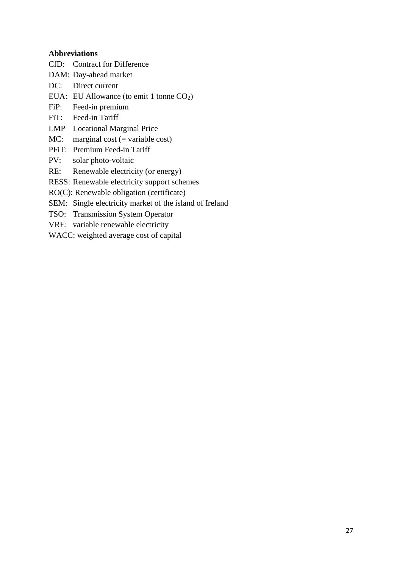#### **Abbreviations**

- CfD: Contract for Difference
- DAM: Day-ahead market
- DC: Direct current
- EUA: EU Allowance (to emit 1 tonne  $CO<sub>2</sub>$ )
- FiP: Feed-in premium
- FiT: Feed-in Tariff
- LMP Locational Marginal Price
- MC: marginal cost  $(=$  variable cost)
- PFiT: Premium Feed-in Tariff
- PV: solar photo-voltaic
- RE: Renewable electricity (or energy)
- RESS: Renewable electricity support schemes
- RO(C): Renewable obligation (certificate)
- SEM: Single electricity market of the island of Ireland
- TSO: Transmission System Operator
- VRE: variable renewable electricity
- WACC: weighted average cost of capital